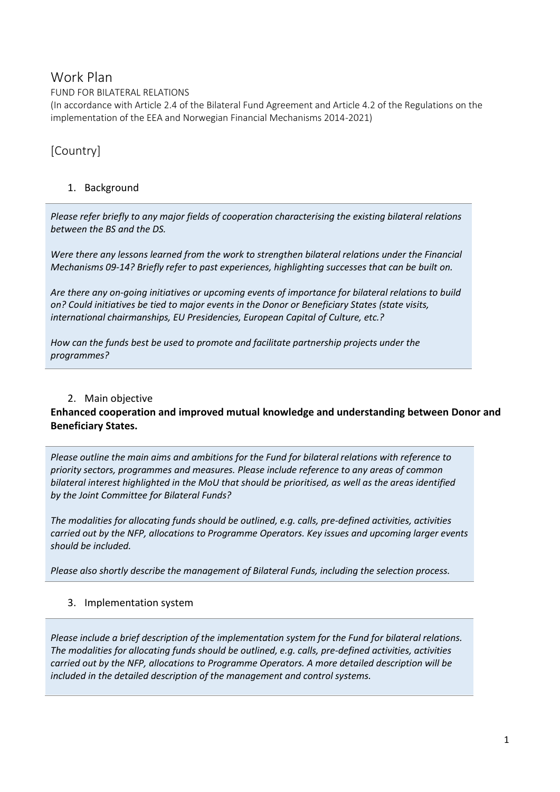## Work Plan

FUND FOR BILATERAL RELATIONS

(In accordance with Article 2.4 of the Bilateral Fund Agreement and Article 4.2 of the Regulations on the implementation of the EEA and Norwegian Financial Mechanisms 2014-2021)

# [Country]

#### 1. Background

*Please refer briefly to any major fields of cooperation characterising the existing bilateral relations between the BS and the DS.* 

*Were there any lessons learned from the work to strengthen bilateral relations under the Financial Mechanisms 09-14? Briefly refer to past experiences, highlighting successes that can be built on.*

*Are there any on-going initiatives or upcoming events of importance for bilateral relations to build on? Could initiatives be tied to major events in the Donor or Beneficiary States (state visits, international chairmanships, EU Presidencies, European Capital of Culture, etc.?*

*How can the funds best be used to promote and facilitate partnership projects under the programmes?*

#### 2. Main objective

#### **Enhanced cooperation and improved mutual knowledge and understanding between Donor and Beneficiary States.**

*Please outline the main aims and ambitions for the Fund for bilateral relations with reference to priority sectors, programmes and measures. Please include reference to any areas of common bilateral interest highlighted in the MoU that should be prioritised, as well as the areas identified by the Joint Committee for Bilateral Funds?*

*The modalities for allocating funds should be outlined, e.g. calls, pre-defined activities, activities carried out by the NFP, allocations to Programme Operators. Key issues and upcoming larger events should be included.* 

*Please also shortly describe the management of Bilateral Funds, including the selection process.*

#### 3. Implementation system

*Please include a brief description of the implementation system for the Fund for bilateral relations. The modalities for allocating funds should be outlined, e.g. calls, pre-defined activities, activities carried out by the NFP, allocations to Programme Operators. A more detailed description will be included in the detailed description of the management and control systems.*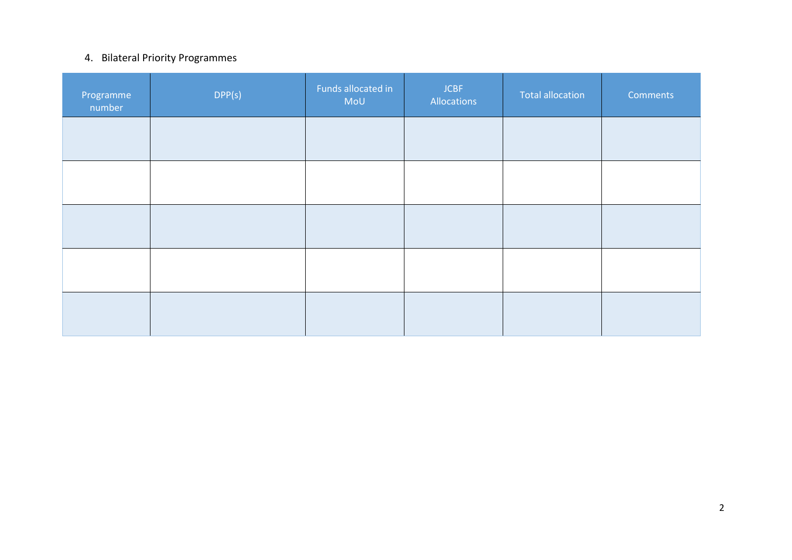### 4. Bilateral Priority Programmes

| Programme<br>number | DPP(s) | Funds allocated in<br>MoU | <b>JCBF</b><br>Allocations | <b>Total allocation</b> | <b>Comments</b> |
|---------------------|--------|---------------------------|----------------------------|-------------------------|-----------------|
|                     |        |                           |                            |                         |                 |
|                     |        |                           |                            |                         |                 |
|                     |        |                           |                            |                         |                 |
|                     |        |                           |                            |                         |                 |
|                     |        |                           |                            |                         |                 |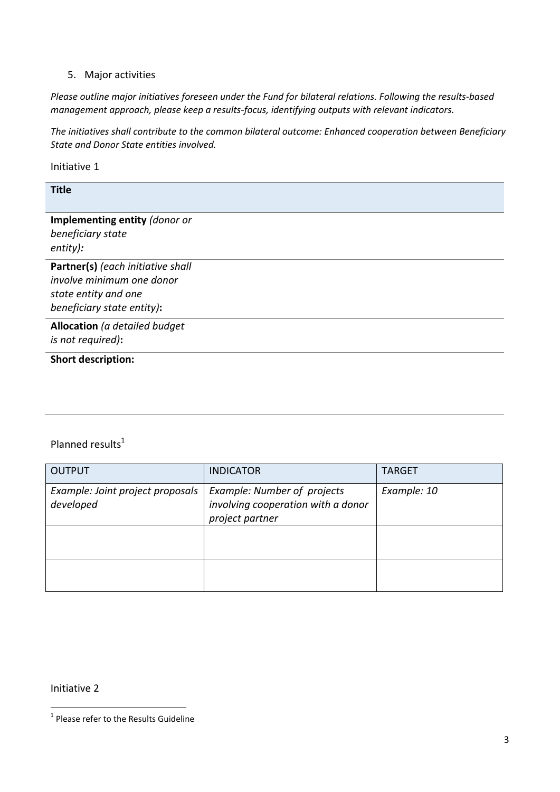#### 5. Major activities

*Please outline major initiatives foreseen under the Fund for bilateral relations. Following the results-based management approach, please keep a results-focus, identifying outputs with relevant indicators.*

*The initiatives shall contribute to the common bilateral outcome: Enhanced cooperation between Beneficiary State and Donor State entities involved.*

Initiative 1

**Title**

**Implementing entity** *(donor or beneficiary state entity):*

**Partner(s)** *(each initiative shall involve minimum one donor state entity and one beneficiary state entity)***:**

**Allocation** *(a detailed budget is not required)***:**

**Short description:**

#### Planned results $1$

| <b>OUTPUT</b>                                 | <b>INDICATOR</b>                                                                     | <b>TARGET</b> |
|-----------------------------------------------|--------------------------------------------------------------------------------------|---------------|
| Example: Joint project proposals<br>developed | Example: Number of projects<br>involving cooperation with a donor<br>project partner | Example: 10   |
|                                               |                                                                                      |               |
|                                               |                                                                                      |               |

Initiative 2

 1 Please refer to the Results Guideline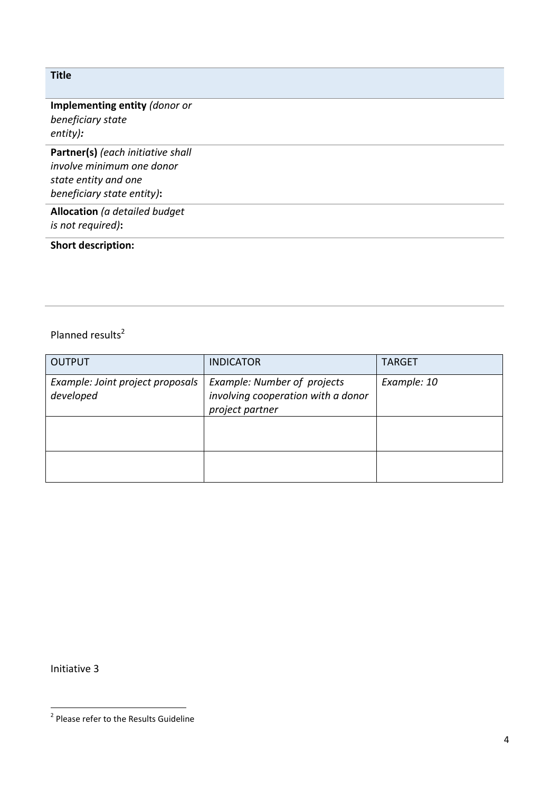#### **Title**

#### **Implementing entity** *(donor or beneficiary state entity):*

**Partner(s)** *(each initiative shall involve minimum one donor state entity and one beneficiary state entity)***:**

**Allocation** *(a detailed budget is not required)***:**

## **Short description:**

## Planned results<sup>2</sup>

| <b>OUTPUT</b>                                 | <b>INDICATOR</b>                                                                     | <b>TARGET</b> |
|-----------------------------------------------|--------------------------------------------------------------------------------------|---------------|
| Example: Joint project proposals<br>developed | Example: Number of projects<br>involving cooperation with a donor<br>project partner | Example: 10   |
|                                               |                                                                                      |               |
|                                               |                                                                                      |               |

Initiative 3

 2 Please refer to the Results Guideline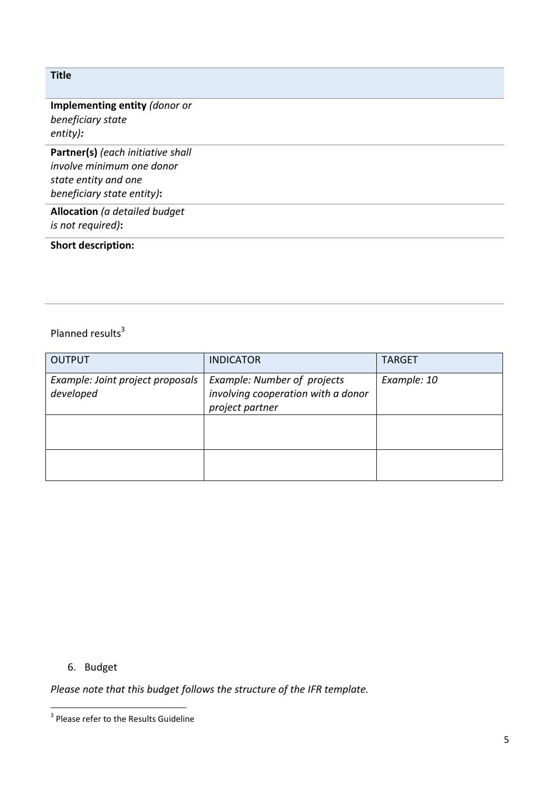#### **Title**

#### **Implementing entity** *(donor or beneficiary state entity):*

**Partner(s)** *(each initiative shall involve minimum one donor state entity and one beneficiary state entity)***:**

**Allocation** *(a detailed budget is not required)***:**

### **Short description:**

## Planned results<sup>3</sup>

| <b>OUTPUT</b>                                 | <b>INDICATOR</b>                                                                     | <b>TARGET</b> |
|-----------------------------------------------|--------------------------------------------------------------------------------------|---------------|
| Example: Joint project proposals<br>developed | Example: Number of projects<br>involving cooperation with a donor<br>project partner | Example: 10   |
|                                               |                                                                                      |               |
|                                               |                                                                                      |               |

6. Budget

*Please note that this budget follows the structure of the IFR template.* 

 3 Please refer to the Results Guideline